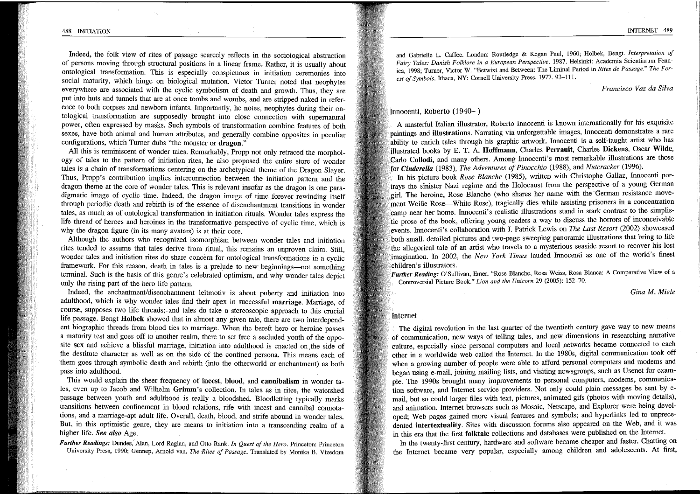#### 488 IMTIATION

Indeed, the folk view of rites of passage scarcely reflects in the sociological abstraction of persons moving through structural positions in a linear frame. Rather, it is usually about ontological transfomâtion. This is especially conspicuous in initiation ceremonies into social maturity, which hinge on biological mutation. Victor Tumer noted that neophytes everywhere are associated with the cyclic symbolism of death and growth. Thus, they ate put into huts and tunnels that are at once tombs and wombs, and are stripped naked in reference to both corpses and newborn infants. Importantly, he notes, neophytes during their ontological transformation are supposedly brought into close connection with supematural power, often expressed by masks. Such symbols of transformation combine features of both sexes, have both animal and human attributes, and generaliy combine opposites in peculiar configurations, which Turner dubs "the monster or dragon."

All this is reminìscent of wonder tales. Remarkably, Propp not only retraced the moryhology of taies to the pattem of initiation rites, he also proposed the entire store of wonder tales is a chain of transformations centering on the archetypical theme of the Dragon Slayer. Thus, Propp's contribution implies interconnection between the initiation pattem and the dragon theme at the core of wonder tales. This is relevant insofar as the dragon is one paradigmatic image of cyclic time. Indeed, the dragon image of time forever rewinding itself through periodic death and rebirth is of the essence of disenchantment transitions in wonder tales, as much as of ontological transformation in initiation rituals. wonder tales express the life thread of heroes and heroines in the transformative perspective of cyclic time, which is why the dragon figure (in its many avatars) is at their core.

Although the authors who recognized isomorphism between wonder tales and initiation rites tended to assume that tales derive from ritual, this remains an unproven claim. Still, wonder tales and initiation rites do share concern for ontological transformations in a cyclic framework. For this reason, death in tales is a prelude to new beginnings—not something terminaÌ. Such is the basis of this geme's celebrated optimism, and why wonder tales depict only the rising part of the hero life pattem.

Indeed, the enchantment/disenchantment leitmotiv is about puberty and initiation into adulthood, which is why wonder tales find their apex in successful marriage. Marriage, of course, supposes two life threads; and tales do take a stereoscopic approach to this crucial life passage. Bengt Holbek showed that in almost any given tale, there are two interdependent biographic threads from blood ties to marriage. When the bereft hero or heroine passes <sup>a</sup>maturity test and goes off to another realm, there to set free a secluded youth of the opposite sex and achieve a blissful marriage, initiation into adulthood is enacted on,the side of the destitute character as well as on the side of the confined persona. This means each of them goes through symbolic death and rebirth (into the otherworld or enchantment) as both pass into adulthood.

This would explain the sheer frequency of incest, blood, and cannibalism in wonder tales, even up to Jacob and Wilhelm Grimm's coliection. In taies as in rites, the watershed passage between youth and adulthood is really a bloodshed. Bloodletting typically marks transitions between confinement in blood relations, rife with incest and cannibal connotations, and a marriage-apt adult life. Overall, death, blood, and strife abound in wonder tales. But, in this optimistic genre, they are means to initiation into a transcending realm of a higher life. See also Age.

Further Readings: Dundes, Alan, Lord Raglan, and Otto Rank. In Quest of the Hero. Princeton: Princeton University Press, 1990; Gennep, Arnold van. The Rites of Passage. Translated by Monika B. Vizedom

and Gabrielle L. Caffee. London: Routledge & Kegan Paul, 1960; Holbek, Bengt. Interpretation of Fairy Tales: Danish Folklore in a European Perspective. 1987. Helsinki: Academia Scientiarum Fennica, 1998; Turner, Victor W. "Betwixt and Between: The Liminal Period in Rites de Passage." The Forest of Symbols. Ithaca, NY: Cornell University Press, 1977. 93-111.

Francisco Vaz da Silva

# lnnocenti, Roberto ( 1940- )

A masterful Italian illustrator, Roberto Innocenti is known internationally for his exquisite paintings and illustrations. Narrating via unforgettable images, Innocenti demonstrates a rare ability to enrich tales through his graphic artwork. Innocenti is a self-taught artist who has illustrated books by E. T. A. Hoffmann, Charles Perrault, Charles Dickens, Oscar Wilde, Carlo Collodi, and many others. Among Innocenti's most remarkable illustrations are those [for *Cinderella* (1983), The Adventures of Pinocchio (1988), and Nutcracker (1996).

girl. The heroine, Rose Blanche (who shares her name with the German resistance movement Weiße Rose-White Rose), tragically dies while assisting prisoners in a concentration camp near her home. Innocenti's realistic illustrations stand in stark contrast to the simplistic prose of the book, offering young readers a way to discuss the horrors of inconceivable events. Innocenti's collaboration with J. Patrick Lewis on The Last Resort (2002) showcased both small, detailed pictures and two-page sweeping panoramic illustrations that bring to life In his picture book Rose Blanche (1985), written with Christophe Gallaz, Innocenti portrays the sinister Nazi regime and the Holocaust from the perspective of a young German the allegorical tale of an artist who travels to a mysterious seaside resort to recover his lost imagination. In 2002, the New York Times lauded Innocenti as one of the world's finest children's illustrators.

Further Reading: O'Sullivan, Emer. "Rose Blanche, Rosa Weiss, Rosa Blanca: A Comparative View of a Controversial Picture Book." Lion and the Unicorn 29 (2005): 152-70.

Gina M. Miele

## Internet

The digital revolution in the last quarter of the twentieth century gave way to new means of communication, new ways of telling tales, and new dimensions in researching narrative culture, especially since personal computers and local networks became connected to each other in a worldwide web called the Intemet. In the 1980s, digital communication took off when a growing number of people were able to afford personal computers and modems and began using e-mail, joining mailing lists, and visiting newsgroups, such as Usenet for example. The 1990s brought many improvements to personal computers, modems, commumcation software, and Intemet service providers. Not only could plain messages be sent by email, but so could larger files with text, pictures, animated gifs (photos with moving detaìls), and animation. Intemet browsers such as Mosaic, Netscape, and Explorer were being developed; Web pages gained more visual features and symbols; and hyperlinks led to unprecedented intertextuality. Sites with discussion forums also appeared on the Web, and it was in this era that the first folktale collections and databases were published on the Internet.

In the twenry-first century, hardware and software became cheaper and faster. chatting on the Internet became very popular, especially among children and adolescents. At first,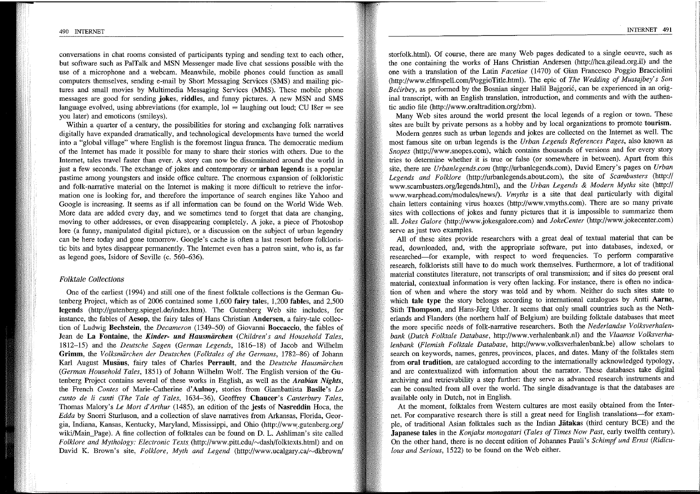conversâtions in chat rooms consisted of participants typing and sending text to each other, but software such as PalTalk and MSN Messenger made live chat sessions possible with the use of a microphone and a webcam. Meanwhile, mobile phones could function as small computers themselves, sending e-mail by Short Messaging Services (SMS) and mailing pictures and small movies by Multimedia Messaging Sewices (MMS). These mobile phone messages are good for sending jokes, riddles, and funny pictures. A new MSN and SMS language evolved, using abbreviations (for example,  $\text{Io} = \text{la }$  laughing out loud; CU l $\text{Ber} = \text{see}$ ) you later) and emoticons (smileys).

Within a quarter of a century, the possibilities for storing and exchanging folk narratives digitally have expanded dramatically, and technological developments have tumed the world into a "global village" where English is the foremost lingua franca. The democratic medium of the Intemet has made it possible for many to share thef stories with others. Due to the Intemet, tales travel faster than ever. A story can now be disseminated around the world in just a few seconds. The exchange of jokes and contemporary or urban legends is a popular pastime among youngsters and inside office culture. The enormous expansion of folkloristic and folk-narrative material on the Intemet is making it more diffrcult to retrieve the information one is looking for, and therefore the importance of search engines like Yahoo and Google is increasing. It seems as if all information can be found on the World Wide Web. More data are added every day, and we sometimes tend to forget that data are changing, moving to other addresses, or even disappearing completely. A joke, a piece of Photoshop lore (a funny, manipulated digital picture), or a discussion on the subject of urban legendry can be here today and gone tomorrow. Google's cache is often a last resort before folkloristic bits and bytes disappear permanently. The Intemet even has a patron saint, who is, as far as legend goes, Isidore of Seville (c. 560-636).

## Folktale Collections

One of the earliest 11994) and still one of the frnest folktale collections is the German Gutenberg Project, which as of 2006 contained some 1,600 fairy tales, 1,200 fables, and 2,500 legends (http://gutenberg.spiegel.delindex.htm). The Gutenberg Web site includes, for instance, the fabies of Aesop, the fairy tales of Hans Christian Andersen, a fairy-tale collection of Ludwig Bechstein, the *Decameron* (1349–50) of Giovanni Boccaccio, the fables of Jean de La Fontaine, the Kinder- und Hausmärchen (Children's and Household Tales, 1812-15) and lhe Deutsche Sagen (German Legends, 1816-18) of Jacob and Wilhelm Grimm, the Volksmärchen der Deutschen (Folktales of the Germans, 1782–86) of Johann Karl August Musäus, fairy tales of Charles Perrault, and the *Deutsche Hausmärchen* (German Household Tales, 1851) of Johann Wilhelm Wolf. The English version of the Gutenberg Project contains several of these works in English, as well as the Arabian Nights, the French Contes of Marie-Catherine d'Aulnoy, stories from Giambattista Basile's Lo cunto de li cunti (The Tale of Tales, 1634-36), Geoffrey Chaucer's Canterbury Tales, Thomas Malory's Le Mort d'Arthur (1485), an edition of the jests of Nasreddin Hoca, the Edda by Snorri Sturluson, and a collection of slave narratives from Arkansas, Florida, Georgia, Indiana, Kansas, Kentucky, Maryland, Mississippi, and Ohio (http://www.gutenberg.org/ wiki/Main\_Page). A fine collection of folktales can be found on D. L. Ashliman's site called Folklore and Mythology: Electronic Texts (http://www.pitt.edu/ $\sim$ dash/folktexts.html) and on David K. Brown's site, Folklore, Myth and Legend (http://www.ucalgary.ca/~dkbrown/

storfolk.html). Of course, there are many Web pages dedicated to a singìe oeuvre, such as the one containing the works of Hans Christian Andersen (http://hca.gilead.org.il) and the one with a translation of the Latin Facetiae (1470) of Gian Francesco Poggio Bracciolini (http://www.elfinspell.com/PoggioTitle.html). The epic of The Wedding of Mustajbey's Son Beéirbey, as performed by the Bosnian singer Halil Bajgorió, can be experienced in an original transcript, with an English translation, ìntroduction, and comments and with the authentic audio file (http://www.oraltradition.org/zbm).

Many Web sites around the world present the local legends of a region or town. These sites are built by private persons as a hobby and by local organizations to promote tourism.

Modem genres such as urban legends and jokes are collected on the Intemet as well. The most famous site on urban legends is the Urban Legends References Pages, also known as Snopes (http://www.snopes.com), which contains thousands of versions and for every story tries to determine whether it is true or false (or somewhere in between). Apart from this site, there are Urbanlegends.com (http://urbanlegends.com), David Emery's pages on Urban Legends and Folklore (http://urbanlegends.about.com), the site of Scambusters (http:// www.scambusters.org/legends.html), and the Urban Legends & Modern Myths site (http:// www.warphead.com/modules/news/). Vmyths is a site that deal particularly with digital chain letters containing virus hoaxes (http://www.vmyths.com). There are so many private sites with collections of jokes and funny pictures that it is impossible to summarize them all. Jokes Galore (http://www.jokesgalore.com) and JokeCenter (http://www.jokecenter.com) serve as just two examples.

All of these sites provide researchers with a great deal of textual material that can be read, downloaded, and, with the appropriate software, put into databases, indexed, or researched-for example, with respect to word frequencies. To perform comparative research, folklorists still have to do much work themselves. Furthermore, a lot of traditional material constitutes literature, not transcripts of oral transmission; and if sites do present oral material, contextual information is very often lacking. For instance, there is often no indication of when and where the story was told and by whom. Neither do such sites state to which tale type the story belongs according to intemational catalogues by Antti Aarne, Stith Thompson, and Hans-Jörg Uther. It seems that only small countries such as the Netherlands and Flanders (the northem half of Belgium) are building folktale databases that meet the more specific needs of folk-narrative researchers. Both the Nederlandse Volksverhalenbank (Dutch Folktale Database, http://www.verhalenbank.nl) and the Vlaamse Volksverhalenbank (Flemish Folktale Database, http://www.volksverhalenbank.be) allow scholars to search on keywords, names, genres, provinces, places, and dates. Many of the folktales stem from oral tradition, are catalogued according to the internationally acknowledged typology, and are contextualized with information about the narrator. These databases take digital archiving and retrievability a step further: they serve as advanced research instruments and can be consulted from all over the world. The single disadvantage is that the databases are available only in Dutch, not in English.

At the moment, folktales from Western cultures are most easily obtained from the Internet. For comparative research there is still a great need for English translations-for example, of traditional Asian folktales such as the Indian Jãtakas (third century BCE) and the Japanese tales in the Konjaku monogatari (Tales of Times Now Past, early twelfth century). On the other hand, there is no decent edition of Johannes Pauli's Schimpf und Ernst (Ridiculous and Serious, 1522) to be found on the Web either.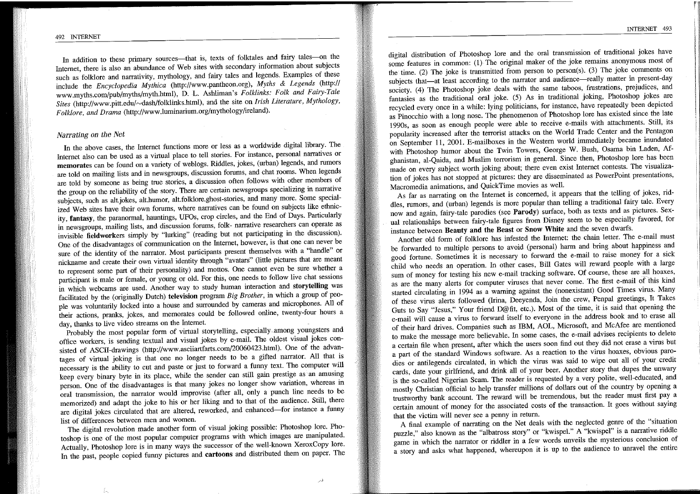### 492 INTERNET

In addition to these primary sources—that is, texts of folktales and fairy tales—on the Internet, there is also an abundance of Web sites with secondary information about subjects such as folklore and narrativity, mythology, and fairy tales and legends. Examples of these include the Encyclopedia Mythica (http://www.pantheon.org), Myths & Legends (http:// www.myths.com/pub/myths/myth.html), D. L. Ashliman's Folklinks: Folk and Fairy-Tale Sites (http://www.pitt.edu/~dash/folklinks.html), and the site on Irish Literature, Mythology, Folklore, and Drama (http://www.luminarium.org/mythology/ireland).

## Narrating on the Net

In the above cases, the Internet functions more or less as a worldwide digital library. The Internet also can be used as a virtual place to tell stories. For instance, personal narratives or memorates can be found on a variety of weblogs. Riddles, jokes, (urban) legends, and rumors are told on mailing lists and in newsgroups, discussion forums, and chat rooms. When legends are told by someone as being true stories, a discussion often follows with other members of the group on the reliability of the story. There are certain newsgroups specializing in narrative subjects, such as alt.jokes, alt.humor, alt.folklore.ghost-stories, and many more. Some specialized Web sites have their own forums, where narratives can be found on subjects like ethnicity, fantasy, the paranormal, hauntings, UFOs, crop circles, and the End of Days. Particularly in newsgroups, mailing lists, and discussion forums, folk- narrative researchers can operate as invisible fieldworkers simply by "lurking" (reading but not participating in the discussion). One of the disadvantages of communication on the Internet, however, is that one can never be sure of the identity of the narrator. Most participants present themselves with a "handle" or nickname and create their own virtual identity through "avatars" (little pictures that are meant to represent some part of their personality) and mottos. One cannot even be sure whether a participant is male or female, or young or old. For this, one needs to follow live chat sessions in which webcams are used. Another way to study human interaction and storytelling was facilitated by the (originally Dutch) television program Big Brother, in which a group of people was voluntarily locked into a house and surrounded by cameras and microphones. All of their actions, pranks, jokes, and memorates could be followed online, twenty-four hours a day, thanks to live video streams on the Internet.

Probably the most popular form of virtual storytelling, especially among youngsters and office workers, is sending textual and visual jokes by e-mail. The oldest visual jokes consisted of ASCII-drawings (http://www.asciiartfarts.com/20060423.html). One of the advantages of virtual joking is that one no longer needs to be a gifted narrator. All that is necessary is the ability to cut and paste or just to forward a funny text. The computer will keep every binary byte in its place, while the sender can still gain prestige as an amusing person. One of the disadvantages is that many jokes no longer show variation, whereas in oral transmission, the narrator would improvise (after all, only a punch line needs to be memorized) and adapt the joke to his or her liking and to that of the audience. Still, there are digital jokes circulated that are altered, reworked, and enhanced-for instance a funny list of differences between men and women.

The digital revolution made another form of visual joking possible: Photoshop lore. Photoshop is one of the most popular computer programs with which images are manipulated. Actually, Photoshop lore is in many ways the successor of the well-known XeroxCopy lore. In the past, people copied funny pictures and cartoons and distributed them on paper. The digital distribution of Photoshop lore and the oral transmission of traditional jokes have some features in common: (1) The original maker of the joke remains anonymous most of the time. (2) The joke is transmitted from person to person(s). (3) The joke comments on subjects that—at least according to the narrator and audience—really matter in present-day society. (4) The Photoshop joke deals with the same taboos, frustrations, prejudices, and fantasies as the traditional oral joke. (5) As in traditional joking, Photoshop jokes are recycled every once in a while: lying politicians, for instance, have repeatedly been depicted as Pinocchio with a long nose. The phenomenon of Photoshop lore has existed since the late 1990s, as soon as enough people were able to receive e-mails with attachments. Still, its popularity increased after the terrorist attacks on the World Trade Center and the Pentagon on September 11, 2001. E-mailboxes in the Western world immediately became inundated with Photoshop humor about the Twin Towers, George W. Bush, Osama bin Laden, Afghanistan, al-Qaida, and Muslim terrorism in general. Since then, Photoshop lore has been made on every subject worth joking about; there even exist Internet contests. The visualization of jokes has not stopped at pictures: they are disseminated as PowerPoint presentations, Macromedia animations, and QuickTime movies as well.

As far as narrating on the Internet is concerned, it appears that the telling of jokes, riddles, rumors, and (urban) legends is more popular than telling a traditional fairy tale. Every now and again, fairy-tale parodies (see Parody) surface, both as texts and as pictures. Sexual relationships between fairy-tale figures from Disney seem to be especially favored, for instance between Beauty and the Beast or Snow White and the seven dwarfs.

Another old form of folklore has infested the Internet: the chain letter. The e-mail must be forwarded to multiple persons to avoid (personal) harm and bring about happiness and good fortune. Sometimes it is necessary to forward the e-mail to raise money for a sick child who needs an operation. In other cases, Bill Gates will reward people with a large sum of money for testing his new e-mail tracking software. Of course, these are all hoaxes, as are the many alerts for computer viruses that never come. The first e-mail of this kind started circulating in 1994 as a warning against the (nonexistant) Good Times virus. Many of these virus alerts followed (Irina, Deeyenda, Join the crew, Penpal greetings, It Takes Guts to Say "Jesus," Your friend D@fit, etc.). Most of the time, it is said that opening the e-mail will cause a virus to forward itself to everyone in the address book and to erase all of their hard drives. Companies such as IBM, AOL, Microsoft, and McAfee are mentioned to make the message more believable. In some cases, the e-mail advises recipients to delete a certain file when present, after which the users soon find out they did not erase a virus but a part of the standard Windows software. As a reaction to the virus hoaxes, obvious parodies or antilegends circulated, in which the virus was said to wipe out all of your credit cards, date your girlfriend, and drink all of your beer. Another story that dupes the unwary is the so-called Nigerian Scam. The reader is requested by a very polite, well-educated, and mostly Christian official to help transfer millions of dollars out of the country by opening a trustworthy bank account. The reward will be tremendous, but the reader must first pay a certain amount of money for the associated costs of the transaction. It goes without saying that the victim will never see a penny in return.

A final example of narrating on the Net deals with the neglected genre of the "situation puzzle," also known as the "albatross story" or "kwispel." A "kwispel" is a narrative riddle game in which the narrator or riddler in a few words unveils the mysterious conclusion of a story and asks what happened, whereupon it is up to the audience to unravel the entire